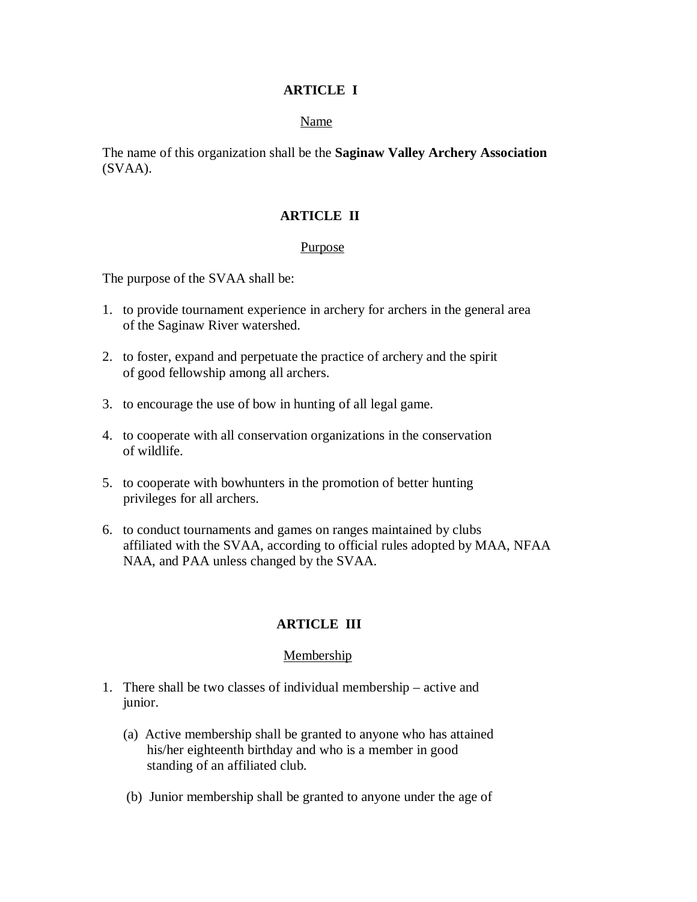#### **ARTICLE I**

#### Name

The name of this organization shall be the **Saginaw Valley Archery Association**  (SVAA).

### **ARTICLE II**

#### Purpose

The purpose of the SVAA shall be:

- 1. to provide tournament experience in archery for archers in the general area of the Saginaw River watershed.
- 2. to foster, expand and perpetuate the practice of archery and the spirit of good fellowship among all archers.
- 3. to encourage the use of bow in hunting of all legal game.
- 4. to cooperate with all conservation organizations in the conservation of wildlife.
- 5. to cooperate with bowhunters in the promotion of better hunting privileges for all archers.
- 6. to conduct tournaments and games on ranges maintained by clubs affiliated with the SVAA, according to official rules adopted by MAA, NFAA NAA, and PAA unless changed by the SVAA.

## **ARTICLE III**

#### **Membership**

- 1. There shall be two classes of individual membership active and junior.
	- (a) Active membership shall be granted to anyone who has attained his/her eighteenth birthday and who is a member in good standing of an affiliated club.
	- (b) Junior membership shall be granted to anyone under the age of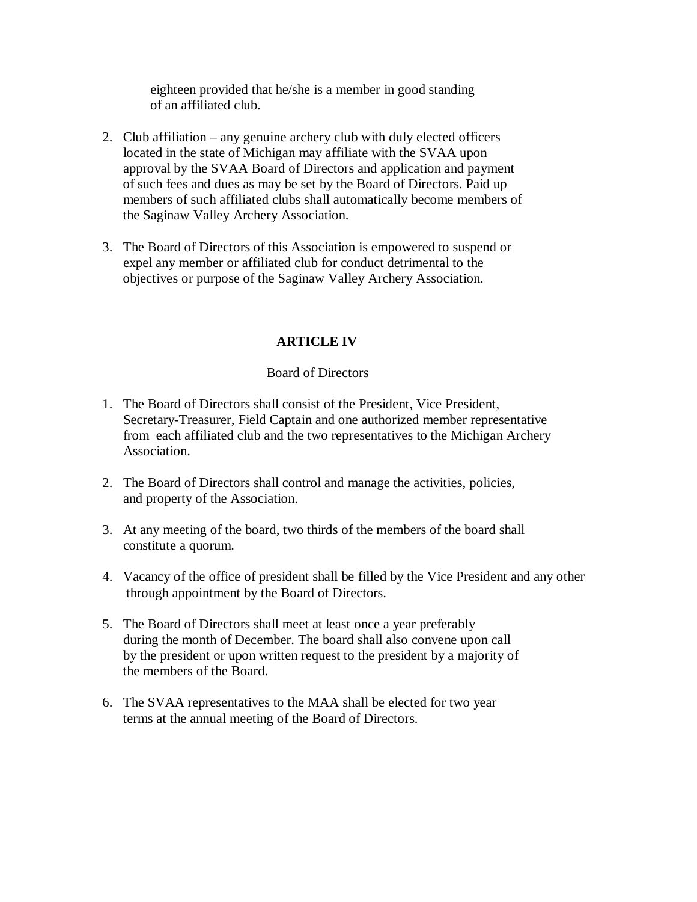eighteen provided that he/she is a member in good standing of an affiliated club.

- 2. Club affiliation any genuine archery club with duly elected officers located in the state of Michigan may affiliate with the SVAA upon approval by the SVAA Board of Directors and application and payment of such fees and dues as may be set by the Board of Directors. Paid up members of such affiliated clubs shall automatically become members of the Saginaw Valley Archery Association.
- 3. The Board of Directors of this Association is empowered to suspend or expel any member or affiliated club for conduct detrimental to the objectives or purpose of the Saginaw Valley Archery Association.

# **ARTICLE IV**

## Board of Directors

- 1. The Board of Directors shall consist of the President, Vice President, Secretary-Treasurer, Field Captain and one authorized member representative from each affiliated club and the two representatives to the Michigan Archery Association.
- 2. The Board of Directors shall control and manage the activities, policies, and property of the Association.
- 3. At any meeting of the board, two thirds of the members of the board shall constitute a quorum.
- 4. Vacancy of the office of president shall be filled by the Vice President and any other through appointment by the Board of Directors.
- 5. The Board of Directors shall meet at least once a year preferably during the month of December. The board shall also convene upon call by the president or upon written request to the president by a majority of the members of the Board.
- 6. The SVAA representatives to the MAA shall be elected for two year terms at the annual meeting of the Board of Directors.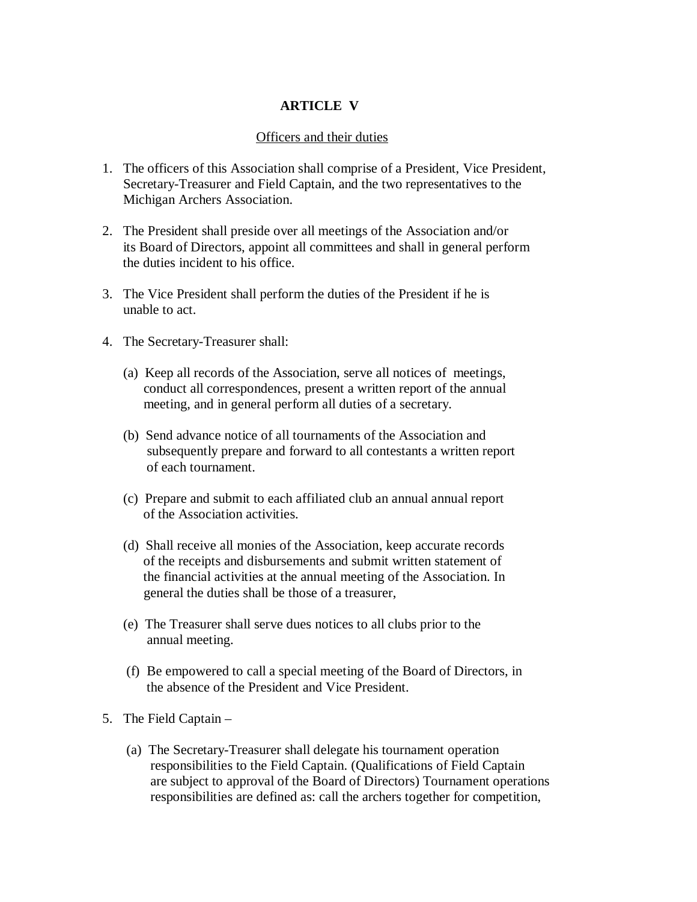### **ARTICLE V**

#### Officers and their duties

- 1. The officers of this Association shall comprise of a President, Vice President, Secretary-Treasurer and Field Captain, and the two representatives to the Michigan Archers Association.
- 2. The President shall preside over all meetings of the Association and/or its Board of Directors, appoint all committees and shall in general perform the duties incident to his office.
- 3. The Vice President shall perform the duties of the President if he is unable to act.
- 4. The Secretary-Treasurer shall:
	- (a) Keep all records of the Association, serve all notices of meetings, conduct all correspondences, present a written report of the annual meeting, and in general perform all duties of a secretary.
	- (b) Send advance notice of all tournaments of the Association and subsequently prepare and forward to all contestants a written report of each tournament.
	- (c) Prepare and submit to each affiliated club an annual annual report of the Association activities.
	- (d) Shall receive all monies of the Association, keep accurate records of the receipts and disbursements and submit written statement of the financial activities at the annual meeting of the Association. In general the duties shall be those of a treasurer,
	- (e) The Treasurer shall serve dues notices to all clubs prior to the annual meeting.
	- (f) Be empowered to call a special meeting of the Board of Directors, in the absence of the President and Vice President.
- 5. The Field Captain
	- (a) The Secretary-Treasurer shall delegate his tournament operation responsibilities to the Field Captain. (Qualifications of Field Captain are subject to approval of the Board of Directors) Tournament operations responsibilities are defined as: call the archers together for competition,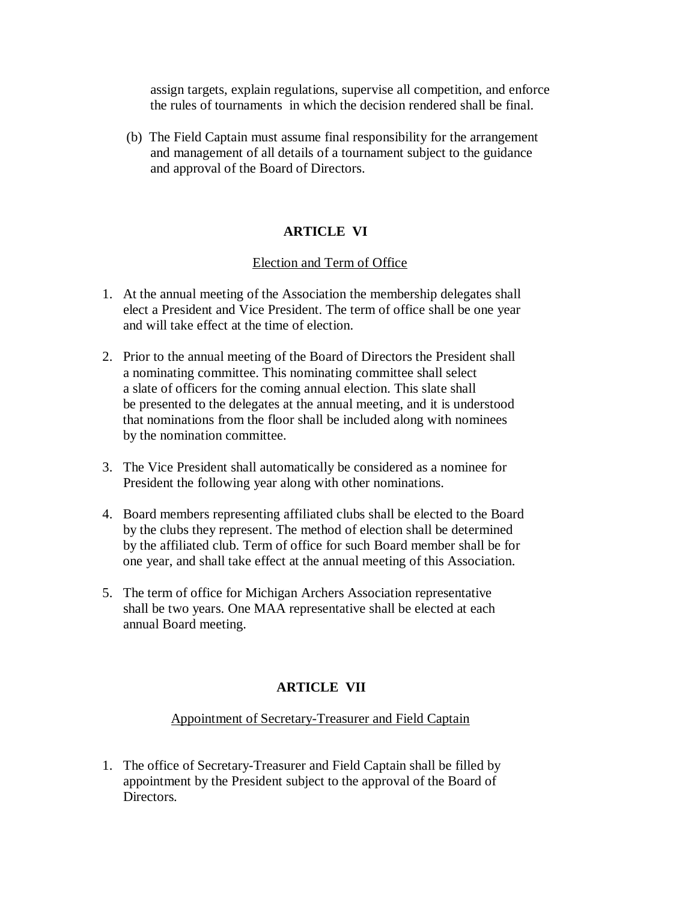assign targets, explain regulations, supervise all competition, and enforce the rules of tournaments in which the decision rendered shall be final.

 (b) The Field Captain must assume final responsibility for the arrangement and management of all details of a tournament subject to the guidance and approval of the Board of Directors.

## **ARTICLE VI**

### **Election and Term of Office**

- 1. At the annual meeting of the Association the membership delegates shall elect a President and Vice President. The term of office shall be one year and will take effect at the time of election.
- 2. Prior to the annual meeting of the Board of Directors the President shall a nominating committee. This nominating committee shall select a slate of officers for the coming annual election. This slate shall be presented to the delegates at the annual meeting, and it is understood that nominations from the floor shall be included along with nominees by the nomination committee.
- 3. The Vice President shall automatically be considered as a nominee for President the following year along with other nominations.
- 4. Board members representing affiliated clubs shall be elected to the Board by the clubs they represent. The method of election shall be determined by the affiliated club. Term of office for such Board member shall be for one year, and shall take effect at the annual meeting of this Association.
- 5. The term of office for Michigan Archers Association representative shall be two years. One MAA representative shall be elected at each annual Board meeting.

## **ARTICLE VII**

### Appointment of Secretary-Treasurer and Field Captain

1. The office of Secretary-Treasurer and Field Captain shall be filled by appointment by the President subject to the approval of the Board of Directors.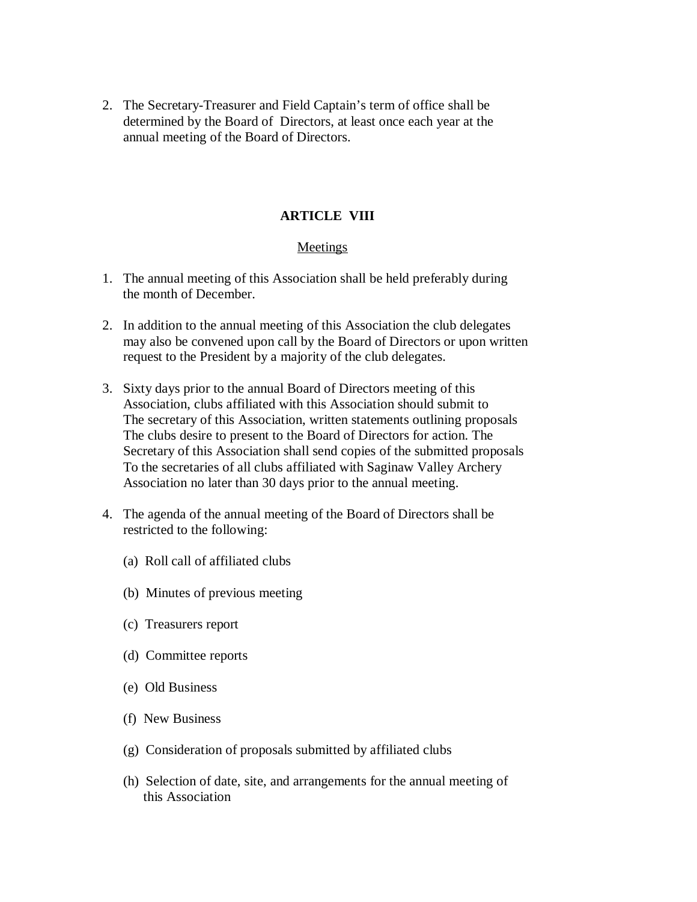2. The Secretary-Treasurer and Field Captain's term of office shall be determined by the Board of Directors, at least once each year at the annual meeting of the Board of Directors.

## **ARTICLE VIII**

#### Meetings

- 1. The annual meeting of this Association shall be held preferably during the month of December.
- 2. In addition to the annual meeting of this Association the club delegates may also be convened upon call by the Board of Directors or upon written request to the President by a majority of the club delegates.
- 3. Sixty days prior to the annual Board of Directors meeting of this Association, clubs affiliated with this Association should submit to The secretary of this Association, written statements outlining proposals The clubs desire to present to the Board of Directors for action. The Secretary of this Association shall send copies of the submitted proposals To the secretaries of all clubs affiliated with Saginaw Valley Archery Association no later than 30 days prior to the annual meeting.
- 4. The agenda of the annual meeting of the Board of Directors shall be restricted to the following:
	- (a) Roll call of affiliated clubs
	- (b) Minutes of previous meeting
	- (c) Treasurers report
	- (d) Committee reports
	- (e) Old Business
	- (f) New Business
	- (g) Consideration of proposals submitted by affiliated clubs
	- (h) Selection of date, site, and arrangements for the annual meeting of this Association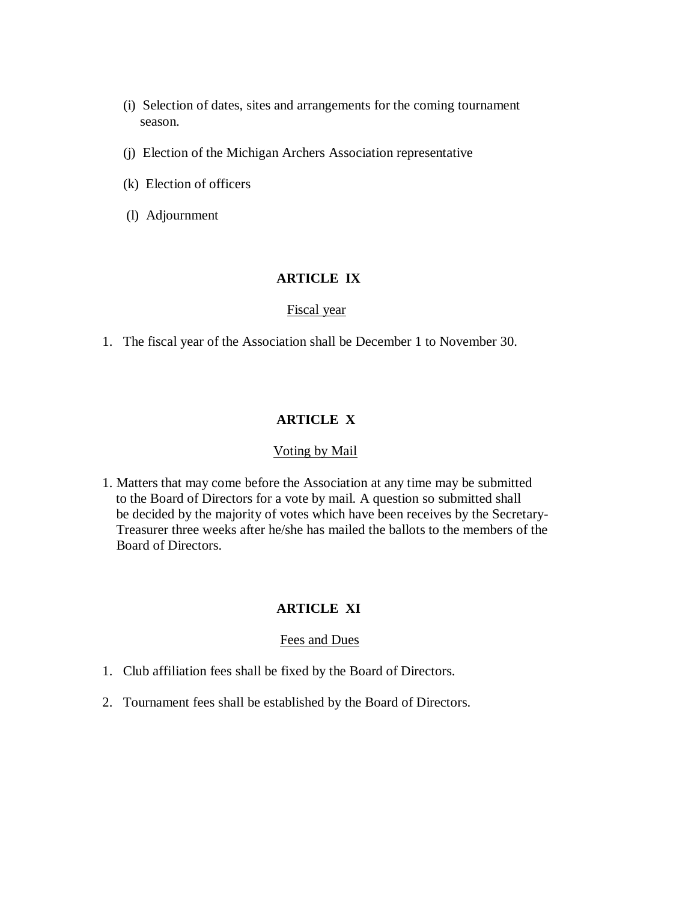- (i) Selection of dates, sites and arrangements for the coming tournament season.
- (j) Election of the Michigan Archers Association representative
- (k) Election of officers
- (l) Adjournment

### **ARTICLE IX**

#### Fiscal year

1. The fiscal year of the Association shall be December 1 to November 30.

## **ARTICLE X**

#### Voting by Mail

1. Matters that may come before the Association at any time may be submitted to the Board of Directors for a vote by mail. A question so submitted shall be decided by the majority of votes which have been receives by the Secretary- Treasurer three weeks after he/she has mailed the ballots to the members of the Board of Directors.

#### **ARTICLE XI**

#### Fees and Dues

- 1. Club affiliation fees shall be fixed by the Board of Directors.
- 2. Tournament fees shall be established by the Board of Directors.